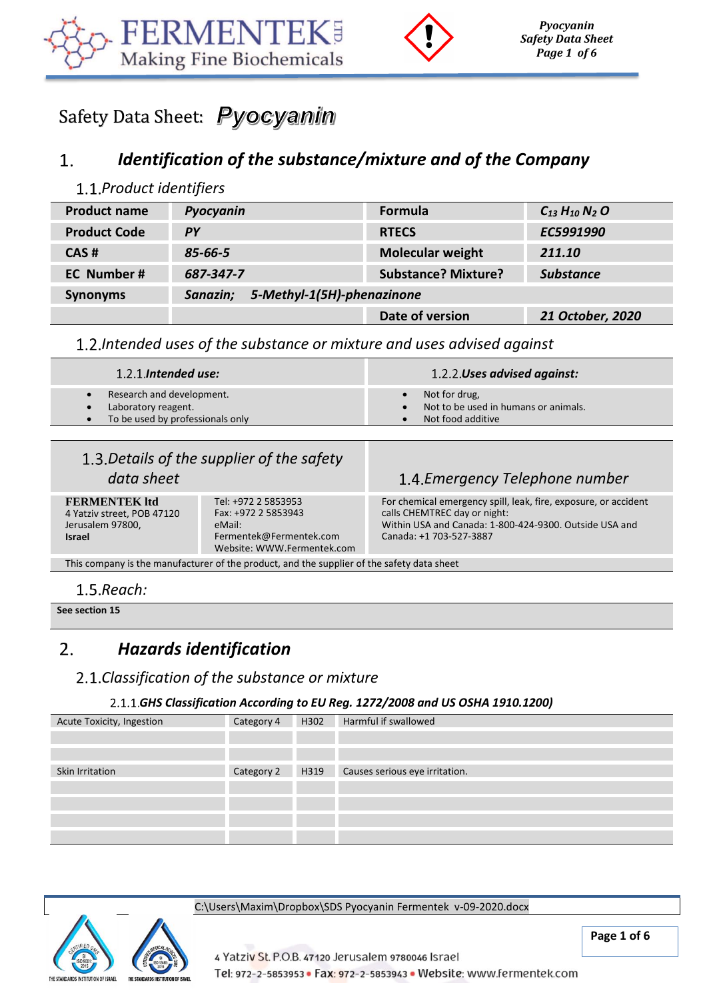



# Safety Data Sheet: Pyocyanin

### *Identification of the substance/mixture and of the Company* 1.

## *Product identifiers*

| <b>Product name</b> | Pyocyanin                              | Formula                    | $C_{13}H_{10}N_2O$ |
|---------------------|----------------------------------------|----------------------------|--------------------|
| <b>Product Code</b> | <b>PY</b>                              | <b>RTECS</b>               | EC5991990          |
| CAS#                | 85-66-5                                | <b>Molecular weight</b>    | 211.10             |
| EC Number#          | 687-347-7                              | <b>Substance? Mixture?</b> | <b>Substance</b>   |
| <b>Synonyms</b>     | 5-Methyl-1(5H)-phenazinone<br>Sanazin; |                            |                    |
|                     |                                        | Date of version            | 21 October, 2020   |

## *Intended uses of the substance or mixture and uses advised against*

| $1.2.1$ Intended use:                                                                   |                                                                                                               | 1.2.2. Uses advised against:                                                                                                                                                         |
|-----------------------------------------------------------------------------------------|---------------------------------------------------------------------------------------------------------------|--------------------------------------------------------------------------------------------------------------------------------------------------------------------------------------|
| Research and development.<br>Laboratory reagent.<br>To be used by professionals only    |                                                                                                               | Not for drug,<br>Not to be used in humans or animals.<br>Not food additive                                                                                                           |
| data sheet                                                                              | 1.3. Details of the supplier of the safety                                                                    | 1.4. Emergency Telephone number                                                                                                                                                      |
| <b>FERMENTEK ltd</b><br>4 Yatziv street, POB 47120<br>Jerusalem 97800,<br><b>Israel</b> | Tel: +972 2 5853953<br>Fax: +972 2 5853943<br>eMail:<br>Fermentek@Fermentek.com<br>Website: WWW.Fermentek.com | For chemical emergency spill, leak, fire, exposure, or accident<br>calls CHEMTREC day or night:<br>Within USA and Canada: 1-800-424-9300. Outside USA and<br>Canada: +1 703-527-3887 |
|                                                                                         | This company is the manufacturer of the product, and the supplier of the safety data sheet                    |                                                                                                                                                                                      |
| $1.5.$ Reach:                                                                           |                                                                                                               |                                                                                                                                                                                      |

**See section 15**

#### $2.$ *Hazards identification*

## *Classification of the substance or mixture*

## *GHS Classification According to EU Reg. 1272/2008 and US OSHA 1910.1200)*

| Acute Toxicity, Ingestion | Category 4 | H302 | Harmful if swallowed           |
|---------------------------|------------|------|--------------------------------|
|                           |            |      |                                |
|                           |            |      |                                |
| Skin Irritation           | Category 2 | H319 | Causes serious eye irritation. |
|                           |            |      |                                |
|                           |            |      |                                |
|                           |            |      |                                |
|                           |            |      |                                |

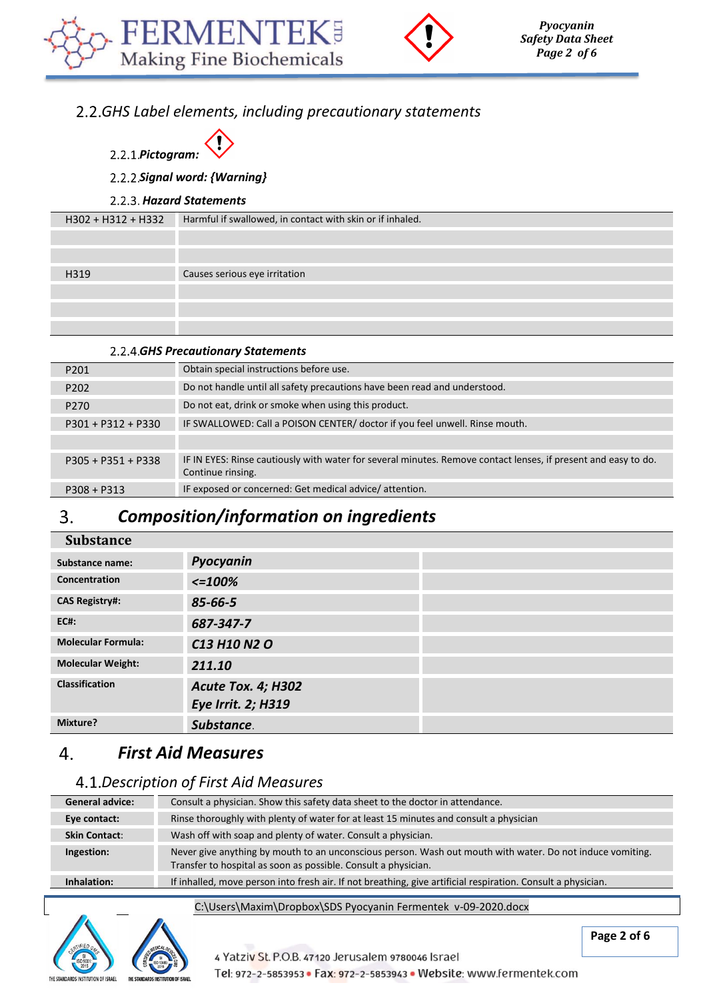



## *GHS Label elements, including precautionary statements*

*Pictogram:* 

*Signal word: {Warning}*

### *Hazard Statements*

| H302 + H312 + H332 | Harmful if swallowed, in contact with skin or if inhaled. |
|--------------------|-----------------------------------------------------------|
|                    |                                                           |
|                    |                                                           |
| H319               | Causes serious eye irritation                             |
|                    |                                                           |
|                    |                                                           |
|                    |                                                           |

|                      | 2.2.4. GHS Precautionary Statements                                                                                                 |
|----------------------|-------------------------------------------------------------------------------------------------------------------------------------|
| P <sub>201</sub>     | Obtain special instructions before use.                                                                                             |
| P <sub>202</sub>     | Do not handle until all safety precautions have been read and understood.                                                           |
| P <sub>270</sub>     | Do not eat, drink or smoke when using this product.                                                                                 |
| $P301 + P312 + P330$ | IF SWALLOWED: Call a POISON CENTER/ doctor if you feel unwell. Rinse mouth.                                                         |
|                      |                                                                                                                                     |
| $P305 + P351 + P338$ | IF IN EYES: Rinse cautiously with water for several minutes. Remove contact lenses, if present and easy to do.<br>Continue rinsing. |
| $P308 + P313$        | IF exposed or concerned: Get medical advice/attention.                                                                              |

### *Composition/information on ingredients*  $3.$

| <b>Substance</b>          |                           |  |
|---------------------------|---------------------------|--|
| Substance name:           | Pyocyanin                 |  |
| Concentration             | $\epsilon = 100\%$        |  |
| <b>CAS Registry#:</b>     | 85-66-5                   |  |
| <b>EC#:</b>               | 687-347-7                 |  |
| <b>Molecular Formula:</b> | C13 H10 N2 O              |  |
| <b>Molecular Weight:</b>  | 211.10                    |  |
| <b>Classification</b>     | <b>Acute Tox. 4; H302</b> |  |
|                           | Eye Irrit. 2; H319        |  |
| Mixture?                  | Substance.                |  |

#### *First Aid Measures*  $\overline{4}$ .

## *Description of First Aid Measures*

| <b>General advice:</b> | Consult a physician. Show this safety data sheet to the doctor in attendance.                                                                                               |
|------------------------|-----------------------------------------------------------------------------------------------------------------------------------------------------------------------------|
| Eye contact:           | Rinse thoroughly with plenty of water for at least 15 minutes and consult a physician                                                                                       |
| <b>Skin Contact:</b>   | Wash off with soap and plenty of water. Consult a physician.                                                                                                                |
| Ingestion:             | Never give anything by mouth to an unconscious person. Wash out mouth with water. Do not induce vomiting.<br>Transfer to hospital as soon as possible. Consult a physician. |
| Inhalation:            | If inhalled, move person into fresh air. If not breathing, give artificial respiration. Consult a physician.                                                                |
|                        |                                                                                                                                                                             |

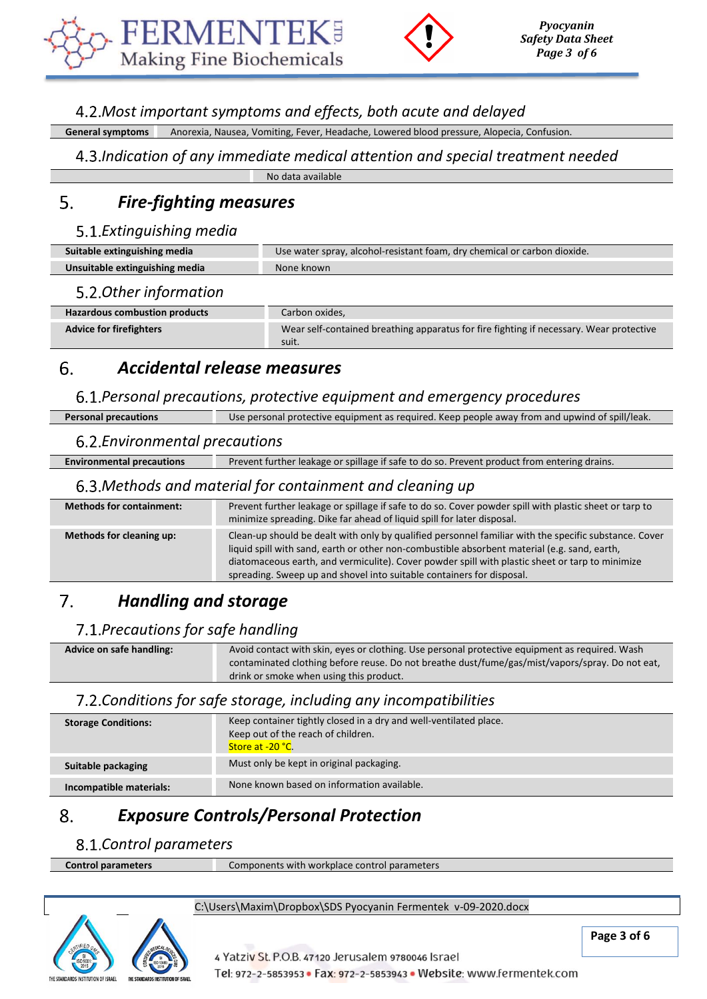



## *Most important symptoms and effects, both acute and delayed*

General symptoms Anorexia, Nausea, Vomiting, Fever, Headache, Lowered blood pressure, Alopecia, Confusion.

### *Indication of any immediate medical attention and special treatment needed*

No data available

#### $5<sub>1</sub>$ *Fire-fighting measures*

## *Extinguishing media*

| Suitable extinguishing media   | Use water spray, alcohol-resistant foam, dry chemical or carbon dioxide. |
|--------------------------------|--------------------------------------------------------------------------|
| Unsuitable extinguishing media | None known                                                               |

## *Other information*

| <b>Hazardous combustion products</b> | Carbon oxides,                                                                          |
|--------------------------------------|-----------------------------------------------------------------------------------------|
|                                      |                                                                                         |
| <b>Advice for firefighters</b>       | Wear self-contained breathing apparatus for fire fighting if necessary. Wear protective |
|                                      | suit.                                                                                   |

#### *Accidental release measures* 6.

## *Personal precautions, protective equipment and emergency procedures*

| <b>Personal precautions</b>    | Use personal protective equipment as required. Keep people away from and upwind of spill/leak. |
|--------------------------------|------------------------------------------------------------------------------------------------|
| 6.2. Environmental precautions |                                                                                                |

| <b>Environmental precautions</b> | Prevent further leakage or spillage if safe to do so. Prevent product from entering drains. |
|----------------------------------|---------------------------------------------------------------------------------------------|
|                                  |                                                                                             |

## *Methods and material for containment and cleaning up*

| <b>Methods for containment:</b> | Prevent further leakage or spillage if safe to do so. Cover powder spill with plastic sheet or tarp to<br>minimize spreading. Dike far ahead of liquid spill for later disposal.                                                                                                                                                                                                  |
|---------------------------------|-----------------------------------------------------------------------------------------------------------------------------------------------------------------------------------------------------------------------------------------------------------------------------------------------------------------------------------------------------------------------------------|
| Methods for cleaning up:        | Clean-up should be dealt with only by qualified personnel familiar with the specific substance. Cover<br>liquid spill with sand, earth or other non-combustible absorbent material (e.g. sand, earth,<br>diatomaceous earth, and vermiculite). Cover powder spill with plastic sheet or tarp to minimize<br>spreading. Sweep up and shovel into suitable containers for disposal. |

### *Handling and storage*  $7<sub>1</sub>$

## *Precautions for safe handling*

| Advice on safe handling: | Avoid contact with skin, eyes or clothing. Use personal protective equipment as required. Wash  |
|--------------------------|-------------------------------------------------------------------------------------------------|
|                          | contaminated clothing before reuse. Do not breathe dust/fume/gas/mist/vapors/spray. Do not eat, |
|                          | drink or smoke when using this product.                                                         |

## *Conditions for safe storage, including any incompatibilities*

| <b>Storage Conditions:</b> | Keep container tightly closed in a dry and well-ventilated place.<br>Keep out of the reach of children.<br>Store at -20 °C. |
|----------------------------|-----------------------------------------------------------------------------------------------------------------------------|
| Suitable packaging         | Must only be kept in original packaging.                                                                                    |
| Incompatible materials:    | None known based on information available.                                                                                  |

### *Exposure Controls/Personal Protection* 8.

## *Control parameters*

| Control parameters | control parameters<br>Components with workplace |  |
|--------------------|-------------------------------------------------|--|
|                    |                                                 |  |



## C:\Users\Maxim\Dropbox\SDS Pyocyanin Fermentek v-09-2020.docx



**Page 3 of 6**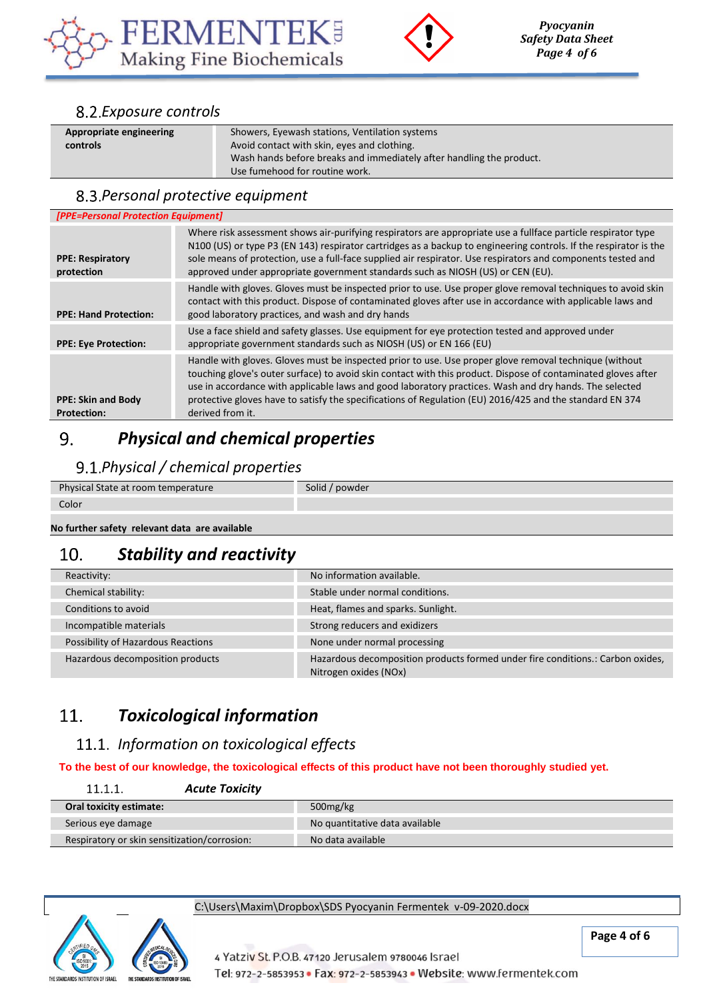



## *Exposure controls*

| Appropriate engineering | Showers, Eyewash stations, Ventilation systems                       |
|-------------------------|----------------------------------------------------------------------|
| controls                | Avoid contact with skin, eyes and clothing.                          |
|                         | Wash hands before breaks and immediately after handling the product. |
|                         | Use fumehood for routine work.                                       |

## *Personal protective equipment*

| [PPE=Personal Protection Equipment]   |                                                                                                                                                                                                                                                                                                                                                                                                                                               |
|---------------------------------------|-----------------------------------------------------------------------------------------------------------------------------------------------------------------------------------------------------------------------------------------------------------------------------------------------------------------------------------------------------------------------------------------------------------------------------------------------|
| <b>PPE: Respiratory</b><br>protection | Where risk assessment shows air-purifying respirators are appropriate use a fullface particle respirator type<br>N100 (US) or type P3 (EN 143) respirator cartridges as a backup to engineering controls. If the respirator is the<br>sole means of protection, use a full-face supplied air respirator. Use respirators and components tested and<br>approved under appropriate government standards such as NIOSH (US) or CEN (EU).         |
| <b>PPE: Hand Protection:</b>          | Handle with gloves. Gloves must be inspected prior to use. Use proper glove removal techniques to avoid skin<br>contact with this product. Dispose of contaminated gloves after use in accordance with applicable laws and<br>good laboratory practices, and wash and dry hands                                                                                                                                                               |
| <b>PPE: Eye Protection:</b>           | Use a face shield and safety glasses. Use equipment for eye protection tested and approved under<br>appropriate government standards such as NIOSH (US) or EN 166 (EU)                                                                                                                                                                                                                                                                        |
| <b>PPE: Skin and Body</b>             | Handle with gloves. Gloves must be inspected prior to use. Use proper glove removal technique (without<br>touching glove's outer surface) to avoid skin contact with this product. Dispose of contaminated gloves after<br>use in accordance with applicable laws and good laboratory practices. Wash and dry hands. The selected<br>protective gloves have to satisfy the specifications of Regulation (EU) 2016/425 and the standard EN 374 |
| <b>Protection:</b>                    | derived from it.                                                                                                                                                                                                                                                                                                                                                                                                                              |

### 9. *Physical and chemical properties*

## *Physical / chemical properties*

| Physical State at room temperature | Solid / powder |
|------------------------------------|----------------|
| Color                              |                |
|                                    |                |

### **No further safety relevant data are available**

### *Stability and reactivity* 10.

| Reactivity:                        | No information available.                                                                               |
|------------------------------------|---------------------------------------------------------------------------------------------------------|
| Chemical stability:                | Stable under normal conditions.                                                                         |
| Conditions to avoid                | Heat, flames and sparks. Sunlight.                                                                      |
| Incompatible materials             | Strong reducers and exidizers                                                                           |
| Possibility of Hazardous Reactions | None under normal processing                                                                            |
| Hazardous decomposition products   | Hazardous decomposition products formed under fire conditions.: Carbon oxides,<br>Nitrogen oxides (NOx) |

### 11. *Toxicological information*

## *Information on toxicological effects*

### **To the best of our knowledge, the toxicological effects of this product have not been thoroughly studied yet.**

| 11.1.1                                       | <b>Acute Toxicity</b> |                                |
|----------------------------------------------|-----------------------|--------------------------------|
| Oral toxicity estimate:                      |                       | 500mg/kg                       |
| Serious eye damage                           |                       | No quantitative data available |
| Respiratory or skin sensitization/corrosion: |                       | No data available              |



C:\Users\Maxim\Dropbox\SDS Pyocyanin Fermentek v-09-2020.docx

**Page 4 of 6**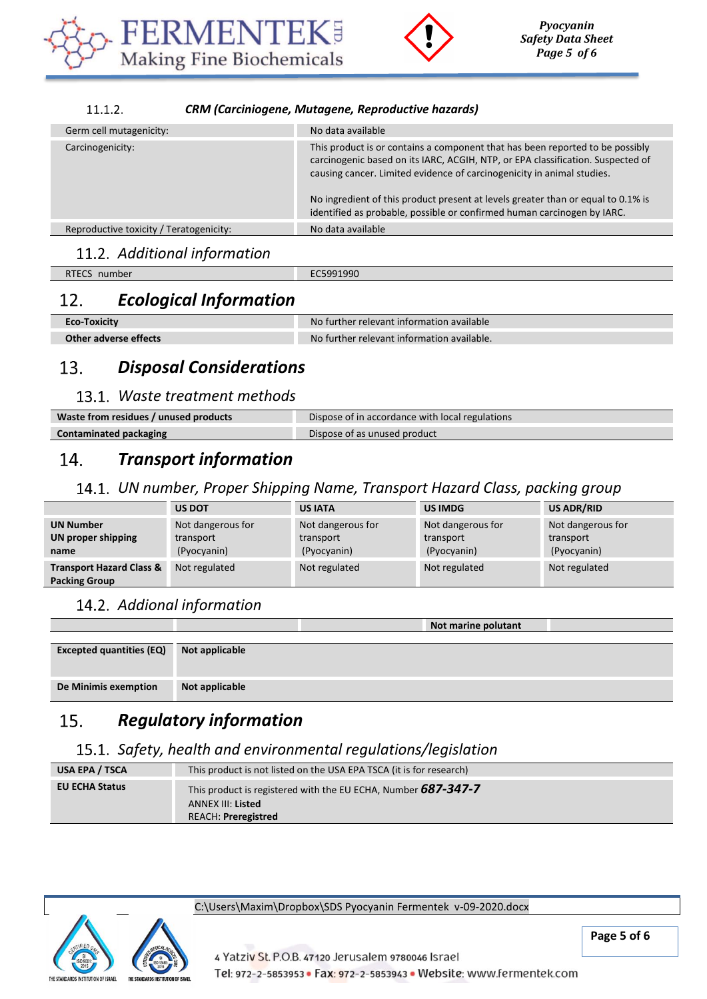



#### $11.1.2.$ *CRM (Carciniogene, Mutagene, Reproductive hazards)*

| Germ cell mutagenicity:                 | No data available                                                                                                                                                                                                                                                                                                                                                                                         |
|-----------------------------------------|-----------------------------------------------------------------------------------------------------------------------------------------------------------------------------------------------------------------------------------------------------------------------------------------------------------------------------------------------------------------------------------------------------------|
| Carcinogenicity:                        | This product is or contains a component that has been reported to be possibly<br>carcinogenic based on its IARC, ACGIH, NTP, or EPA classification. Suspected of<br>causing cancer. Limited evidence of carcinogenicity in animal studies.<br>No ingredient of this product present at levels greater than or equal to 0.1% is<br>identified as probable, possible or confirmed human carcinogen by IARC. |
| Reproductive toxicity / Teratogenicity: | No data available                                                                                                                                                                                                                                                                                                                                                                                         |
|                                         |                                                                                                                                                                                                                                                                                                                                                                                                           |

## *Additional information*

| RTECS number | EC5991990 |  |
|--------------|-----------|--|

#### *Ecological Information* 12.

| -Toxicit              | No further relevant information available  |
|-----------------------|--------------------------------------------|
| Other adverse effects | No further relevant information available. |

#### *Disposal Considerations* 13.

## *Waste treatment methods*

| Waste from residues / unused products | Dispose of in accordance with local regulations |
|---------------------------------------|-------------------------------------------------|
| <b>Contaminated packaging</b>         | Dispose of as unused product                    |

#### 14. *Transport information*

## *UN number, Proper Shipping Name, Transport Hazard Class, packing group*

|                                                             | <b>US DOT</b>                                 | <b>US IATA</b>                                | US IMDG                                       | <b>US ADR/RID</b>                             |
|-------------------------------------------------------------|-----------------------------------------------|-----------------------------------------------|-----------------------------------------------|-----------------------------------------------|
| <b>UN Number</b><br>UN proper shipping<br>name              | Not dangerous for<br>transport<br>(Pyocyanin) | Not dangerous for<br>transport<br>(Pyocyanin) | Not dangerous for<br>transport<br>(Pyocyanin) | Not dangerous for<br>transport<br>(Pyocyanin) |
| <b>Transport Hazard Class &amp;</b><br><b>Packing Group</b> | Not regulated                                 | Not regulated                                 | Not regulated                                 | Not regulated                                 |

## *Addional information*

|                                 |                | Not marine polutant |  |
|---------------------------------|----------------|---------------------|--|
| <b>Excepted quantities (EQ)</b> | Not applicable |                     |  |
|                                 |                |                     |  |
| De Minimis exemption            | Not applicable |                     |  |

### 15. *Regulatory information*

## *Safety, health and environmental regulations/legislation*

| USA EPA / TSCA | This product is not listed on the USA EPA TSCA (it is for research)                                                     |  |  |
|----------------|-------------------------------------------------------------------------------------------------------------------------|--|--|
| EU ECHA Status | This product is registered with the EU ECHA, Number 687-347-7<br><b>ANNEX III: Listed</b><br><b>REACH: Preregistred</b> |  |  |